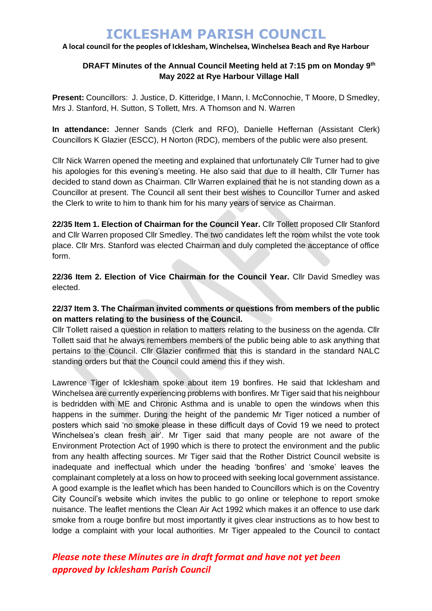### **A local council for the peoples of Icklesham, Winchelsea, Winchelsea Beach and Rye Harbour**

### **DRAFT Minutes of the Annual Council Meeting held at 7:15 pm on Monday 9 th May 2022 at Rye Harbour Village Hall**

**Present:** Councillors: J. Justice, D. Kitteridge, I Mann, I. McConnochie, T Moore, D Smedley, Mrs J. Stanford, H. Sutton, S Tollett, Mrs. A Thomson and N. Warren

**In attendance:** Jenner Sands (Clerk and RFO), Danielle Heffernan (Assistant Clerk) Councillors K Glazier (ESCC), H Norton (RDC), members of the public were also present.

Cllr Nick Warren opened the meeting and explained that unfortunately Cllr Turner had to give his apologies for this evening's meeting. He also said that due to ill health, Cllr Turner has decided to stand down as Chairman. Cllr Warren explained that he is not standing down as a Councillor at present. The Council all sent their best wishes to Councillor Turner and asked the Clerk to write to him to thank him for his many years of service as Chairman.

**22/35 Item 1. Election of Chairman for the Council Year.** Cllr Tollett proposed Cllr Stanford and Cllr Warren proposed Cllr Smedley. The two candidates left the room whilst the vote took place. Cllr Mrs. Stanford was elected Chairman and duly completed the acceptance of office form.

**22/36 Item 2. Election of Vice Chairman for the Council Year.** Cllr David Smedley was elected.

# **22/37 Item 3. The Chairman invited comments or questions from members of the public on matters relating to the business of the Council.**

Cllr Tollett raised a question in relation to matters relating to the business on the agenda. Cllr Tollett said that he always remembers members of the public being able to ask anything that pertains to the Council. Cllr Glazier confirmed that this is standard in the standard NALC standing orders but that the Council could amend this if they wish.

Lawrence Tiger of Icklesham spoke about item 19 bonfires. He said that Icklesham and Winchelsea are currently experiencing problems with bonfires. Mr Tiger said that his neighbour is bedridden with ME and Chronic Asthma and is unable to open the windows when this happens in the summer. During the height of the pandemic Mr Tiger noticed a number of posters which said 'no smoke please in these difficult days of Covid 19 we need to protect Winchelsea's clean fresh air'. Mr Tiger said that many people are not aware of the Environment Protection Act of 1990 which is there to protect the environment and the public from any health affecting sources. Mr Tiger said that the Rother District Council website is inadequate and ineffectual which under the heading 'bonfires' and 'smoke' leaves the complainant completely at a loss on how to proceed with seeking local government assistance. A good example is the leaflet which has been handed to Councillors which is on the Coventry City Council's website which invites the public to go online or telephone to report smoke nuisance. The leaflet mentions the Clean Air Act 1992 which makes it an offence to use dark smoke from a rouge bonfire but most importantly it gives clear instructions as to how best to lodge a complaint with your local authorities. Mr Tiger appealed to the Council to contact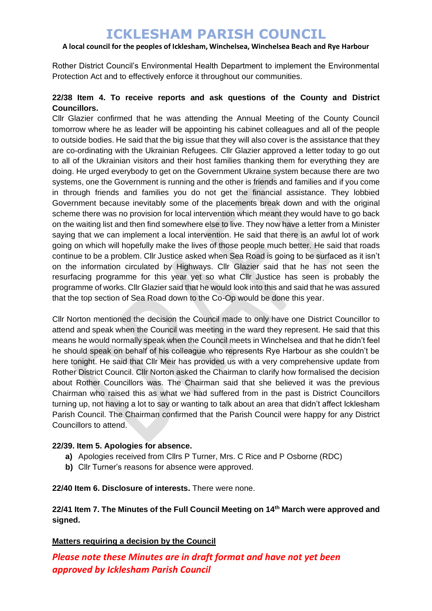### **A local council for the peoples of Icklesham, Winchelsea, Winchelsea Beach and Rye Harbour**

Rother District Council's Environmental Health Department to implement the Environmental Protection Act and to effectively enforce it throughout our communities.

# **22/38 Item 4. To receive reports and ask questions of the County and District Councillors.**

Cllr Glazier confirmed that he was attending the Annual Meeting of the County Council tomorrow where he as leader will be appointing his cabinet colleagues and all of the people to outside bodies. He said that the big issue that they will also cover is the assistance that they are co-ordinating with the Ukrainian Refugees. Cllr Glazier approved a letter today to go out to all of the Ukrainian visitors and their host families thanking them for everything they are doing. He urged everybody to get on the Government Ukraine system because there are two systems, one the Government is running and the other is friends and families and if you come in through friends and families you do not get the financial assistance. They lobbied Government because inevitably some of the placements break down and with the original scheme there was no provision for local intervention which meant they would have to go back on the waiting list and then find somewhere else to live. They now have a letter from a Minister saying that we can implement a local intervention. He said that there is an awful lot of work going on which will hopefully make the lives of those people much better. He said that roads continue to be a problem. Cllr Justice asked when Sea Road is going to be surfaced as it isn't on the information circulated by Highways. Cllr Glazier said that he has not seen the resurfacing programme for this year yet so what Cllr Justice has seen is probably the programme of works. Cllr Glazier said that he would look into this and said that he was assured that the top section of Sea Road down to the Co-Op would be done this year.

Cllr Norton mentioned the decision the Council made to only have one District Councillor to attend and speak when the Council was meeting in the ward they represent. He said that this means he would normally speak when the Council meets in Winchelsea and that he didn't feel he should speak on behalf of his colleague who represents Rye Harbour as she couldn't be here tonight. He said that Cllr Meir has provided us with a very comprehensive update from Rother District Council. Cllr Norton asked the Chairman to clarify how formalised the decision about Rother Councillors was. The Chairman said that she believed it was the previous Chairman who raised this as what we had suffered from in the past is District Councillors turning up, not having a lot to say or wanting to talk about an area that didn't affect Icklesham Parish Council. The Chairman confirmed that the Parish Council were happy for any District Councillors to attend.

### **22/39. Item 5. Apologies for absence.**

- **a)** Apologies received from Cllrs P Turner, Mrs. C Rice and P Osborne (RDC)
- **b)** Cllr Turner's reasons for absence were approved.

**22/40 Item 6. Disclosure of interests.** There were none.

# **22/41 Item 7. The Minutes of the Full Council Meeting on 14th March were approved and signed.**

### **Matters requiring a decision by the Council**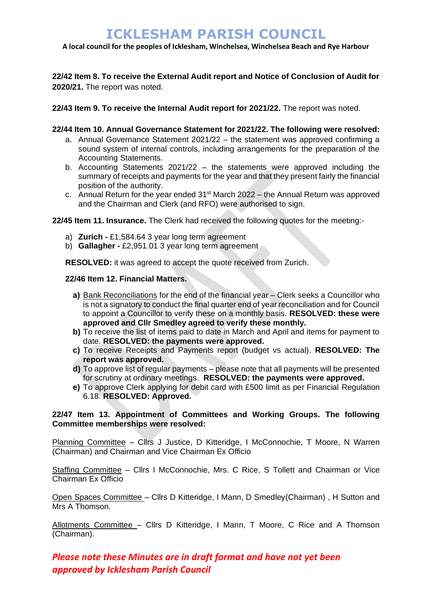**A local council for the peoples of Icklesham, Winchelsea, Winchelsea Beach and Rye Harbour**

**22/42 Item 8. To receive the External Audit report and Notice of Conclusion of Audit for 2020/21.** The report was noted.

**22/43 Item 9. To receive the Internal Audit report for 2021/22.** The report was noted.

### **22/44 Item 10. Annual Governance Statement for 2021/22. The following were resolved:**

- a. Annual Governance Statement 2021/22 the statement was approved confirming a sound system of internal controls, including arrangements for the preparation of the Accounting Statements.
- b. Accounting Statements 2021/22 the statements were approved including the summary of receipts and payments for the year and that they present fairly the financial position of the authority.
- c. Annual Return for the year ended  $31<sup>st</sup>$  March 2022 the Annual Return was approved and the Chairman and Clerk (and RFO) were authorised to sign.

**22/45 Item 11. Insurance.** The Clerk had received the following quotes for the meeting:-

- a) **Zurich -** £1,584.64 3 year long term agreement
- b) **Gallagher -** £2,951.01 3 year long term agreement

**RESOLVED:** it was agreed to accept the quote received from Zurich.

#### **22/46 Item 12. Financial Matters.**

- **a)** Bank Reconciliations for the end of the financial year Clerk seeks a Councillor who is not a signatory to conduct the final quarter end of year reconciliation and for Council to appoint a Councillor to verify these on a monthly basis. **RESOLVED: these were approved and Cllr Smedley agreed to verify these monthly.**
- **b)** To receive the list of items paid to date in March and April and items for payment to date. **RESOLVED: the payments were approved.**
- **c)** To receive Receipts and Payments report (budget vs actual). **RESOLVED: The report was approved.**
- **d)** To approve list of regular payments please note that all payments will be presented for scrutiny at ordinary meetings. **RESOLVED: the payments were approved.**
- **e)** To approve Clerk applying for debit card with £500 limit as per Financial Regulation 6.18. **RESOLVED: Approved.**

### **22/47 Item 13. Appointment of Committees and Working Groups. The following Committee memberships were resolved:**

Planning Committee – Cllrs J Justice, D Kitteridge, I McConnochie, T Moore, N Warren (Chairman) and Chairman and Vice Chairman Ex Officio

Staffing Committee - Cllrs I McConnochie, Mrs. C Rice, S Tollett and Chairman or Vice Chairman Ex Officio

Open Spaces Committee – Cllrs D Kitteridge, I Mann, D Smedley(Chairman) , H Sutton and Mrs A Thomson.

Allotments Committee – Cllrs D Kitteridge, I Mann, T Moore, C Rice and A Thomson (Chairman).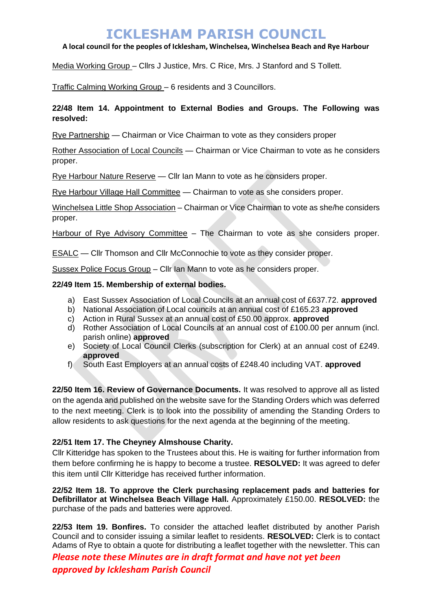### **A local council for the peoples of Icklesham, Winchelsea, Winchelsea Beach and Rye Harbour**

Media Working Group – Cllrs J Justice, Mrs. C Rice, Mrs. J Stanford and S Tollett.

Traffic Calming Working Group – 6 residents and 3 Councillors.

# **22/48 Item 14. Appointment to External Bodies and Groups. The Following was resolved:**

Rye Partnership — Chairman or Vice Chairman to vote as they considers proper

Rother Association of Local Councils — Chairman or Vice Chairman to vote as he considers proper.

Rye Harbour Nature Reserve — Cllr Ian Mann to vote as he considers proper.

Rye Harbour Village Hall Committee — Chairman to vote as she considers proper.

Winchelsea Little Shop Association – Chairman or Vice Chairman to vote as she/he considers proper.

Harbour of Rye Advisory Committee – The Chairman to vote as she considers proper.

ESALC — Cllr Thomson and Cllr McConnochie to vote as they consider proper.

Sussex Police Focus Group – Cllr Ian Mann to vote as he considers proper.

# **22/49 Item 15. Membership of external bodies.**

- a) East Sussex Association of Local Councils at an annual cost of £637.72. **approved**
- b) National Association of Local councils at an annual cost of £165.23 **approved**
- c) Action in Rural Sussex at an annual cost of £50.00 approx. **approved**
- d) Rother Association of Local Councils at an annual cost of £100.00 per annum (incl. parish online) **approved**
- e) Society of Local Council Clerks (subscription for Clerk) at an annual cost of £249. **approved**
- f) South East Employers at an annual costs of £248.40 including VAT. **approved**

**22/50 Item 16. Review of Governance Documents.** It was resolved to approve all as listed on the agenda and published on the website save for the Standing Orders which was deferred to the next meeting. Clerk is to look into the possibility of amending the Standing Orders to allow residents to ask questions for the next agenda at the beginning of the meeting.

### **22/51 Item 17. The Cheyney Almshouse Charity.**

Cllr Kitteridge has spoken to the Trustees about this. He is waiting for further information from them before confirming he is happy to become a trustee. **RESOLVED:** It was agreed to defer this item until Cllr Kitteridge has received further information.

**22/52 Item 18. To approve the Clerk purchasing replacement pads and batteries for Defibrillator at Winchelsea Beach Village Hall.** Approximately £150.00. **RESOLVED:** the purchase of the pads and batteries were approved.

**22/53 Item 19. Bonfires.** To consider the attached leaflet distributed by another Parish Council and to consider issuing a similar leaflet to residents. **RESOLVED:** Clerk is to contact Adams of Rye to obtain a quote for distributing a leaflet together with the newsletter. This can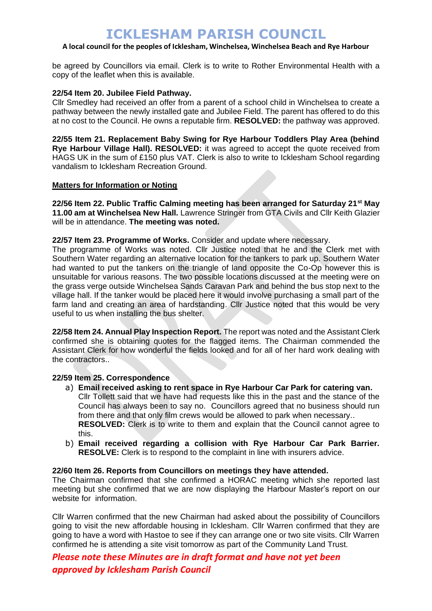## **A local council for the peoples of Icklesham, Winchelsea, Winchelsea Beach and Rye Harbour**

be agreed by Councillors via email. Clerk is to write to Rother Environmental Health with a copy of the leaflet when this is available.

#### **22/54 Item 20. Jubilee Field Pathway.**

Cllr Smedley had received an offer from a parent of a school child in Winchelsea to create a pathway between the newly installed gate and Jubilee Field. The parent has offered to do this at no cost to the Council. He owns a reputable firm. **RESOLVED:** the pathway was approved.

**22/55 Item 21. Replacement Baby Swing for Rye Harbour Toddlers Play Area (behind Rye Harbour Village Hall). RESOLVED:** it was agreed to accept the quote received from HAGS UK in the sum of £150 plus VAT. Clerk is also to write to Icklesham School regarding vandalism to Icklesham Recreation Ground.

### **Matters for Information or Noting**

**22/56 Item 22. Public Traffic Calming meeting has been arranged for Saturday 21st May 11.00 am at Winchelsea New Hall.** Lawrence Stringer from GTA Civils and Cllr Keith Glazier will be in attendance. **The meeting was noted.** 

#### **22/57 Item 23. Programme of Works.** Consider and update where necessary.

The programme of Works was noted. Cllr Justice noted that he and the Clerk met with Southern Water regarding an alternative location for the tankers to park up. Southern Water had wanted to put the tankers on the triangle of land opposite the Co-Op however this is unsuitable for various reasons. The two possible locations discussed at the meeting were on the grass verge outside Winchelsea Sands Caravan Park and behind the bus stop next to the village hall. If the tanker would be placed here it would involve purchasing a small part of the farm land and creating an area of hardstanding. Cllr Justice noted that this would be very useful to us when installing the bus shelter.

**22/58 Item 24. Annual Play Inspection Report.** The report was noted and the Assistant Clerk confirmed she is obtaining quotes for the flagged items. The Chairman commended the Assistant Clerk for how wonderful the fields looked and for all of her hard work dealing with the contractors..

#### **22/59 Item 25. Correspondence**

- a) **Email received asking to rent space in Rye Harbour Car Park for catering van.** Cllr Tollett said that we have had requests like this in the past and the stance of the Council has always been to say no. Councillors agreed that no business should run from there and that only film crews would be allowed to park when necessary.. **RESOLVED:** Clerk is to write to them and explain that the Council cannot agree to this.
- b) **Email received regarding a collision with Rye Harbour Car Park Barrier. RESOLVE:** Clerk is to respond to the complaint in line with insurers advice.

#### **22/60 Item 26. Reports from Councillors on meetings they have attended.**

The Chairman confirmed that she confirmed a HORAC meeting which she reported last meeting but she confirmed that we are now displaying the Harbour Master's report on our website for information.

Cllr Warren confirmed that the new Chairman had asked about the possibility of Councillors going to visit the new affordable housing in Icklesham. Cllr Warren confirmed that they are going to have a word with Hastoe to see if they can arrange one or two site visits. Cllr Warren confirmed he is attending a site visit tomorrow as part of the Community Land Trust.